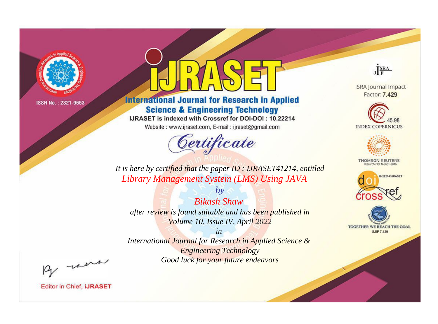

# **International Journal for Research in Applied Science & Engineering Technology**

IJRASET is indexed with Crossref for DOI-DOI: 10.22214

Website: www.ijraset.com, E-mail: ijraset@gmail.com



JERA

**ISRA Journal Impact** Factor: 7.429





**THOMSON REUTERS** 



TOGETHER WE REACH THE GOAL **SJIF 7.429** 

*It is here by certified that the paper ID : IJRASET41214, entitled Library Management System (LMS) Using JAVA*

*Bikash Shaw after review is found suitable and has been published in Volume 10, Issue IV, April 2022*

*by*

*in* 

*International Journal for Research in Applied Science & Engineering Technology Good luck for your future endeavors*

By morn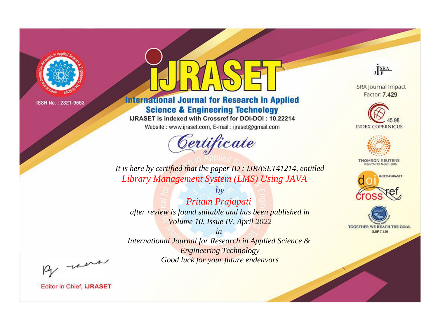

# **International Journal for Research in Applied Science & Engineering Technology**

IJRASET is indexed with Crossref for DOI-DOI: 10.22214

Website: www.ijraset.com, E-mail: ijraset@gmail.com



JERA

**ISRA Journal Impact** Factor: 7.429





**THOMSON REUTERS** 



TOGETHER WE REACH THE GOAL **SJIF 7.429** 

*It is here by certified that the paper ID : IJRASET41214, entitled Library Management System (LMS) Using JAVA*

*Pritam Prajapati after review is found suitable and has been published in Volume 10, Issue IV, April 2022*

*by*

*in* 

*International Journal for Research in Applied Science & Engineering Technology Good luck for your future endeavors*

By morn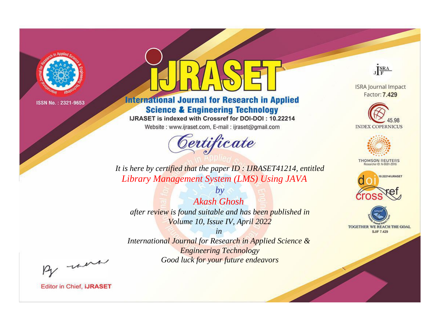

# **International Journal for Research in Applied Science & Engineering Technology**

IJRASET is indexed with Crossref for DOI-DOI: 10.22214

Website: www.ijraset.com, E-mail: ijraset@gmail.com



JERA

**ISRA Journal Impact** Factor: 7.429





**THOMSON REUTERS** 



TOGETHER WE REACH THE GOAL **SJIF 7.429** 

*It is here by certified that the paper ID : IJRASET41214, entitled Library Management System (LMS) Using JAVA*

*Akash Ghosh after review is found suitable and has been published in Volume 10, Issue IV, April 2022*

*by*

*in* 

*International Journal for Research in Applied Science & Engineering Technology Good luck for your future endeavors*

By morn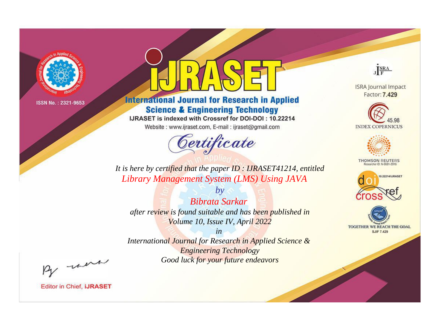

# **International Journal for Research in Applied Science & Engineering Technology**

IJRASET is indexed with Crossref for DOI-DOI: 10.22214

Website: www.ijraset.com, E-mail: ijraset@gmail.com



JERA

**ISRA Journal Impact** Factor: 7.429





**THOMSON REUTERS** 



TOGETHER WE REACH THE GOAL **SJIF 7.429** 

*It is here by certified that the paper ID : IJRASET41214, entitled Library Management System (LMS) Using JAVA*

*Bibrata Sarkar after review is found suitable and has been published in Volume 10, Issue IV, April 2022*

*by*

*in* 

*International Journal for Research in Applied Science & Engineering Technology Good luck for your future endeavors*

By morn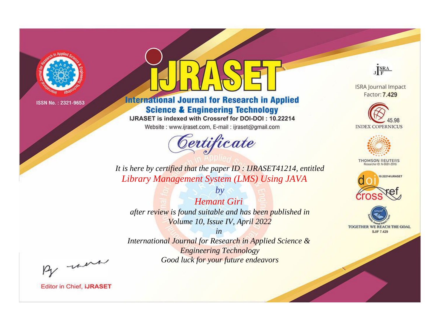

# **International Journal for Research in Applied Science & Engineering Technology**

IJRASET is indexed with Crossref for DOI-DOI: 10.22214

Website: www.ijraset.com, E-mail: ijraset@gmail.com



JERA

**ISRA Journal Impact** Factor: 7.429





**THOMSON REUTERS** 



TOGETHER WE REACH THE GOAL **SJIF 7.429** 

*It is here by certified that the paper ID : IJRASET41214, entitled Library Management System (LMS) Using JAVA*

*Hemant Giri after review is found suitable and has been published in Volume 10, Issue IV, April 2022*

*by*

*in* 

*International Journal for Research in Applied Science & Engineering Technology Good luck for your future endeavors*

By morn